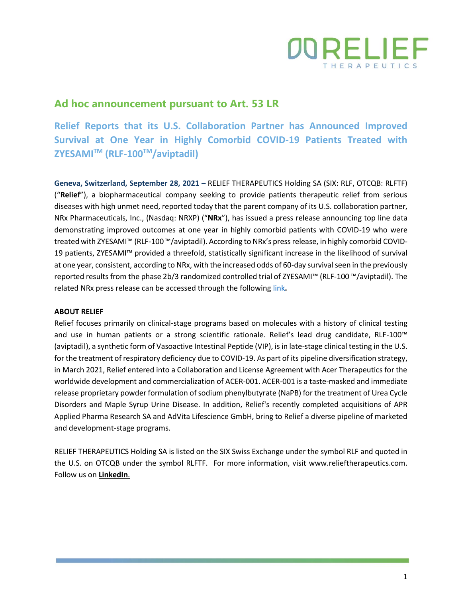

## **Ad hoc announcement pursuant to Art. 53 LR**

**Relief Reports that its U.S. Collaboration Partner has Announced Improved Survival at One Year in Highly Comorbid COVID-19 Patients Treated with ZYESAMITM (RLF-100TM/aviptadil)**

**Geneva, Switzerland, September 28, 2021 –** RELIEF THERAPEUTICS Holding SA (SIX: RLF, OTCQB: RLFTF) ("**Relief**"), a biopharmaceutical company seeking to provide patients therapeutic relief from serious diseases with high unmet need, reported today that the parent company of its U.S. collaboration partner, NRx Pharmaceuticals, Inc., (Nasdaq: NRXP) ("**NRx**"), has issued a press release announcing top line data demonstrating improved outcomes at one year in highly comorbid patients with COVID-19 who were treated with ZYESAMI™ (RLF-100™/aviptadil). According to NRx's press release, in highly comorbid COVID-19 patients, ZYESAMI™ provided a threefold, statistically significant increase in the likelihood of survival at one year, consistent, according to NRx, with the increased odds of 60-day survival seen in the previously reported results from the phase 2b/3 randomized controlled trial of ZYESAMI™ (RLF-100 ™/aviptadil). The related NRx press release can be accessed through the following [link](https://ir.nrxpharma.com/news-events/press-releases/detail/88/nrx-pharmaceuticals-announces-improved-survival-at-one-year)**.**

## **ABOUT RELIEF**

Relief focuses primarily on clinical-stage programs based on molecules with a history of clinical testing and use in human patients or a strong scientific rationale. Relief's lead drug candidate, RLF-100™ (aviptadil), a synthetic form of Vasoactive Intestinal Peptide (VIP), is in late-stage clinical testing in the U.S. for the treatment of respiratory deficiency due to COVID-19. As part of its pipeline diversification strategy, in March 2021, Relief entered into a Collaboration and License Agreement with Acer Therapeutics for the worldwide development and commercialization of ACER-001. ACER-001 is a taste-masked and immediate release proprietary powder formulation of sodium phenylbutyrate (NaPB) for the treatment of Urea Cycle Disorders and Maple Syrup Urine Disease. In addition, Relief's recently completed acquisitions of APR Applied Pharma Research SA and AdVita Lifescience GmbH, bring to Relief a diverse pipeline of marketed and development-stage programs.

RELIEF THERAPEUTICS Holding SA is listed on the SIX Swiss Exchange under the symbol RLF and quoted in the U.S. on OTCQB under the symbol RLFTF. For more information, visit [www.relieftherapeutics.com.](http://www.relieftherapeutics.com/) Follow us on **[LinkedIn](https://www.linkedin.com/company/relief-therapeutics-holding-sa/?viewAsMember=true)**.